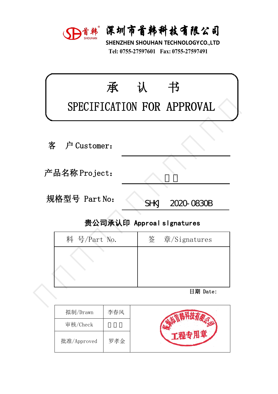

深圳市首韩科技有限公司<br>SHENZHEN SHOUHAN TECHNOLOGYCO.,LTD<br>Tel: 0755-27597601 Fax: 0755-27597491 **宋圳市首韩科技有限公司**<br>HENZHEN SHOUHAN TECHNOLOGYCO.,LTD<br>Tel: 0755-27597601 Fax: 0755-27597491

| 承             | 认           | 书                                                                                                                                                         |
|---------------|-------------|-----------------------------------------------------------------------------------------------------------------------------------------------------------|
| 户 Customer:   |             |                                                                                                                                                           |
| 产品名称 Project: |             |                                                                                                                                                           |
| 规格型号 Part No: | <b>SHKJ</b> | 2020-0830B                                                                                                                                                |
|               |             |                                                                                                                                                           |
| 料 号/Part No.  | 签           | 章/Signatures                                                                                                                                              |
|               |             |                                                                                                                                                           |
|               |             | 日期 Date:                                                                                                                                                  |
|               |             | D首韩 深圳市首韩科技有限公司<br>SHENZHEN SHOUHAN TECHNOLOGYCO.,LTD<br>Tel: 0755-27597601 Fax: 0755-27597491<br>SPECIFICATION FOR APPROVAL<br>贵公司承认印 Approal slgnatures |

| !硲型号 Part No: | 2020-0830B<br><b>SHKJ</b> |
|---------------|---------------------------|
|               | 贵公司承认印 Approal slgnatures |
| 料 号/Part No.  | 签 章/Signatures            |
|               |                           |
|               |                           |
|               |                           |
|               | 日期 Date:                  |
|               |                           |

| 拟制/Drawn    | 李春风 |  |
|-------------|-----|--|
| 审核/Check    |     |  |
| 批准/Approved | 罗孝金 |  |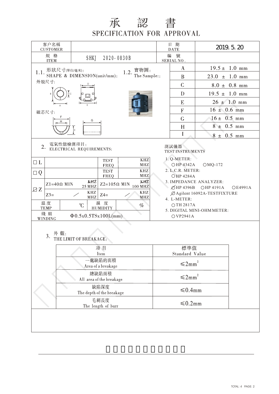## 承 認 書<br>SPECIFICATION FOR APPROVAL

| 客户名稱<br><b>CUSTOMER</b>                          |                                                                      |                | 日 期<br><b>DATE</b>                                                         | 2019. 5. 20                  |  |  |  |  |  |
|--------------------------------------------------|----------------------------------------------------------------------|----------------|----------------------------------------------------------------------------|------------------------------|--|--|--|--|--|
| 規 格<br><b>ITEM</b>                               | SHKJ 2020-0830B                                                      | 编              | 號<br>SERIAL NO.                                                            |                              |  |  |  |  |  |
|                                                  | 1.1. 形狀尺寸(單位/毫米):<br>1.2. 實物圖:                                       |                | $\mathbf{A}$                                                               | $19.5 \pm 1.0$ mm            |  |  |  |  |  |
|                                                  | SHAPE & DIMENSION(unit/mm):<br>The Sample::                          |                | B                                                                          | $23.0 \pm 1.0 \text{ mm}$    |  |  |  |  |  |
| 外殻尺寸:                                            |                                                                      |                | $\overline{C}$<br>$8.0 \pm 0.8$ mm                                         |                              |  |  |  |  |  |
|                                                  |                                                                      |                | D                                                                          | $19.5 \pm 1.0 \text{ mm}$    |  |  |  |  |  |
|                                                  |                                                                      |                | $26 \pm 1.0$ mm<br>E                                                       |                              |  |  |  |  |  |
| 磁芯尺寸:                                            |                                                                      |                | $16 \pm 0.6$ mm<br>$\boldsymbol{\mathrm{F}}$                               |                              |  |  |  |  |  |
|                                                  | H                                                                    |                | $16 \pm 0.5$ mm<br>$\mathsf G$                                             |                              |  |  |  |  |  |
|                                                  |                                                                      |                | H                                                                          | $8 \pm 0.5$ mm               |  |  |  |  |  |
|                                                  |                                                                      |                | I                                                                          | $8 \pm 0.5$ mm               |  |  |  |  |  |
|                                                  | 電氣性能檢測項目:<br>2. ELECTRICAL REQUIREMENTS:<br>測試儀器<br>TEST INSTRUMENTS |                |                                                                            |                              |  |  |  |  |  |
| $\Box$ L                                         | <b>KHZ</b><br><b>TEST</b>                                            |                | 1. Q-METER:                                                                |                              |  |  |  |  |  |
| $\Box Q$                                         | $\ensuremath{\mathbf{MHz}}$<br>FREQ<br>KHZ<br><b>TEST</b>            |                | ○HP 4342A<br>2. L.C.R. METER:                                              | $OMQ-172$                    |  |  |  |  |  |
|                                                  | $\ensuremath{\mathbf{MHz}}$<br>FREQ<br>KHZ<br>KHZ                    |                | <b>OHP 4284A</b>                                                           |                              |  |  |  |  |  |
| ZZ                                               | $Z1=40\Omega$ MIN<br>Z2=105 $\Omega$ MIN 100 MHZ<br><b>25 MHZ</b>    |                | 3. IMPEDANCE ANALYZER:<br>$\emptyset$ HP 4396B OHP 4191A<br><b>OE4991A</b> |                              |  |  |  |  |  |
| $Z3=$                                            | KHZ<br>KHZ<br>$Z4=$<br>$\ensuremath{\mathbf{MHz}}$<br>MHZ            |                |                                                                            | Ø Agilent 16092A-TESTFIXTURE |  |  |  |  |  |
| 温度                                               | 濕度<br>C<br>$\%$                                                      |                | 4. L-METER:<br>OTH 2817A                                                   |                              |  |  |  |  |  |
| <b>TEMP</b><br>綫組                                | <b>HUMIDITY</b>                                                      |                |                                                                            | 5. DIGITAL MINI-OHM METER:   |  |  |  |  |  |
| $\Phi$ 0.5x0.5TSx100L(mm)<br>OVP2941A<br>WINDING |                                                                      |                |                                                                            |                              |  |  |  |  |  |
| 3.                                               | 外觀:<br>THE LIMIT OF BREAKAGE:                                        |                |                                                                            |                              |  |  |  |  |  |
|                                                  | 項目                                                                   |                | 標準值                                                                        |                              |  |  |  |  |  |
|                                                  | Item<br>一處缺陷的面積                                                      | Standard Value |                                                                            |                              |  |  |  |  |  |
|                                                  | Area of a breakage                                                   | $\leq 2mm^2$   |                                                                            |                              |  |  |  |  |  |
|                                                  | 總缺陷面積<br>All area of the breakage                                    |                | $\leq 2mm^2$                                                               |                              |  |  |  |  |  |
|                                                  | 缺陷深度<br>The depth of the breakage                                    |                | ≤0.4mm                                                                     |                              |  |  |  |  |  |
|                                                  | 毛刺長度<br>The length of burr                                           | ≤0.2mm         |                                                                            |                              |  |  |  |  |  |
|                                                  |                                                                      |                |                                                                            |                              |  |  |  |  |  |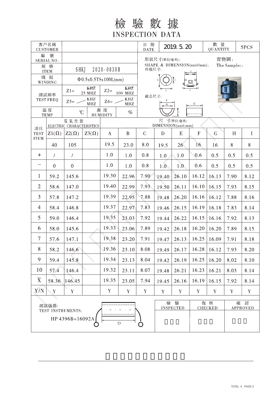檢驗數據 **INSPECTION DATA** 

| 客户名稱<br><b>CUSTOMER</b>                                |                  |                                  |                                    |                       |                                                      |               | 日期<br>2019. 5. 20<br><b>DATE</b> |             |                         | 數 量<br>QUANTITY |                 | 5PCS        |  |  |
|--------------------------------------------------------|------------------|----------------------------------|------------------------------------|-----------------------|------------------------------------------------------|---------------|----------------------------------|-------------|-------------------------|-----------------|-----------------|-------------|--|--|
| 編                                                      | 號<br>SERIAL NO.  |                                  |                                    |                       | 實物圖:<br>形狀尺寸(單位/毫米):                                 |               |                                  |             |                         |                 |                 |             |  |  |
| 規 格<br><b>ITEM</b>                                     |                  | <b>SHKJ</b><br>2020-0830B        |                                    |                       | SHAPE & DIMENSION(unit/mm):<br>The Sample::<br>外殻尺寸: |               |                                  |             |                         |                 |                 |             |  |  |
| 綫組<br>WINDING                                          |                  |                                  | $\Phi$ 0.5x0.5TSx100L(mm)          |                       |                                                      |               |                                  |             |                         |                 |                 |             |  |  |
| 測試頻率<br><b>TEST FREQ</b>                               |                  | $Z1=$                            | KHZ<br><b>25 MHZ</b>               | $Z2=$                 | KHZ<br>100 MHZ                                       |               |                                  |             |                         |                 |                 |             |  |  |
|                                                        |                  | $Z3=$ $\angle$                   | KHZ<br>$\ensuremath{\mathbf{MHz}}$ |                       | KHZ<br>$Z4=$<br>MHZ                                  |               | 磁芯尺寸:<br>G<br>$\mathsf H$        |             |                         |                 |                 |             |  |  |
| 温度<br><b>TEMP</b>                                      |                  | C                                |                                    | 濕度<br><b>HUMIDITY</b> | $\%$                                                 |               |                                  |             |                         |                 |                 |             |  |  |
|                                                        |                  | 電氣性能<br>ELECTRIC CHARACTERISTICS |                                    |                       |                                                      |               | 尺 寸(單位:毫米)<br>DIMENSION(unit:mm) |             |                         |                 |                 |             |  |  |
| 項目<br><b>TEST</b><br><b>ITEM</b>                       | $Z1(\Omega)$     | $Z2(\Omega)$                     | $Z3(\Omega)$                       | $\bf{A}$              | $\mathbf{B}$                                         | $\mathcal{C}$ | $\mathbf{D}$                     | E           | $\mathbf F$             | $\mathsf{G}$    | H               | $\bf{I}$    |  |  |
|                                                        | 40               | 105                              |                                    | 19.5                  | 23.0                                                 | 8.0           | 19.5                             | 26          | 16                      | 16              | 8               | 8           |  |  |
| $\pm$                                                  | $\prime$         | $\prime$                         |                                    | 1.0                   | 1.0                                                  | 0.8           | 1.0                              | 1.0         | 0.6                     | 0.5             | 0.5             | 0.5         |  |  |
|                                                        | $\boldsymbol{0}$ | $\mathbf{0}$                     |                                    | 1.0                   | 1.0                                                  | 0.8           | 1.0                              | 1.0         | 0.6                     | 0.5             | 0.5             | 0.5         |  |  |
| $\mathbf{1}$                                           | 59.2             | 145.6                            |                                    | 19.30                 | 22.96                                                | 7.90          | 19.40                            | 26.10       | 16.12                   | 16.13           | 7.90            | 8.12        |  |  |
| $\overline{2}$                                         | 58.6             | 147.0                            |                                    | 19.40                 | 22.99                                                | 7.93          | 19.50                            | 26.11       | 16.10                   | 16.15           | 7.93            | 8.15        |  |  |
| 3                                                      | 57.8             | 147.2                            |                                    | 19.39                 | 22.95                                                | 7.88          | 19.48                            | 26.20       | 16.16                   | 16.12           | 7.88            | 8.16        |  |  |
| $\overline{4}$                                         | 58.4             | 146.8                            |                                    | 19.37                 | 22.97                                                | 7.83          | 19.46                            | 26.15       | 16.19                   | 16.18           | 7.83            | 8.14        |  |  |
| 5                                                      | 59.0             | 146.4                            |                                    | 19.35                 | 23.03                                                | 7.92          | 19.44                            | 26.22       | 16.15                   | 16.16           | 7.92            | 8.13        |  |  |
| 6                                                      | 58.0             | 145.6                            |                                    | 19.33                 | 23.06                                                | 7.89          | 19.42                            | 26.18       | 16.20                   | 16.20           | 7.89            | 8.15        |  |  |
| $\tau$                                                 | 57.6             | 147.1                            |                                    | 19.38                 | 23.20                                                | 7.91          | 19.47                            | 26.13       | 16.25                   | 16.09           | 7.91            | 8.18        |  |  |
| 8                                                      | 58.2             | 146.6                            |                                    | 19.36                 | 23.10                                                | 8.08          | 19.49                            |             | $26.17$   16.28   16.12 |                 | 7.93            | 8.20        |  |  |
| 9                                                      | 59.4             | 145.8                            |                                    | 19.34                 | 23.13                                                | 8.04          | 19.42                            | 26.19       | 16.25                   | 16.20           | 8.02            | 8.10        |  |  |
| 10                                                     | 57.4             | 146.4                            |                                    | 19.32                 | 23.11                                                | 8.07          | 19.48                            | 26.21       | 16.23                   | 16.21           | 8.03            | 8.14        |  |  |
| $\overline{\mathbf{X}}$                                | 58.36            | 146.45                           |                                    | 19.35                 | 23.05                                                | 7.94          | 19.45                            | 26.16       | 16.19                   | 16.15           | 7.92            | 8.14        |  |  |
| Y/N                                                    | $\mathbf Y$      | $\mathbf Y$                      |                                    | Y                     | $\mathbf Y$                                          | $\mathbf Y$   | $\mathbf Y$                      | $\mathbf Y$ | $\mathbf Y$             | Y               | Y               | $\mathbf Y$ |  |  |
| 測試儀器:                                                  |                  |                                  |                                    |                       |                                                      | 檢             | 驗                                |             | 復核                      | 確               | 認               |             |  |  |
| TEST INSTRUMENTS:<br>HP 4396B+16092A<br>$\overline{D}$ |                  |                                  |                                    |                       | O                                                    |               | <b>INSPECTED</b>                 |             | <b>CHECKED</b>          |                 | <b>APPROVED</b> |             |  |  |